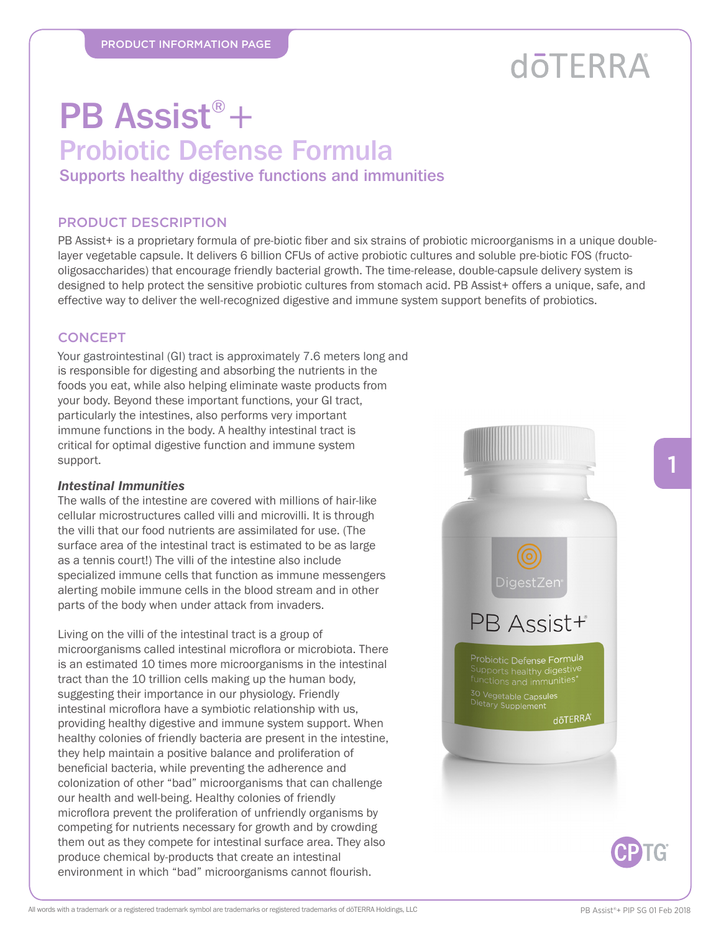## **döTERRA**

## PB Assist®+ Probiotic Defense Formula

Supports healthy digestive functions and immunities

### PRODUCT DESCRIPTION

PB Assist+ is a proprietary formula of pre-biotic fiber and six strains of probiotic microorganisms in a unique doublelayer vegetable capsule. It delivers 6 billion CFUs of active probiotic cultures and soluble pre-biotic FOS (fructooligosaccharides) that encourage friendly bacterial growth. The time-release, double-capsule delivery system is designed to help protect the sensitive probiotic cultures from stomach acid. PB Assist+ offers a unique, safe, and effective way to deliver the well-recognized digestive and immune system support benefits of probiotics.

## **CONCEPT**

Your gastrointestinal (GI) tract is approximately 7.6 meters long and is responsible for digesting and absorbing the nutrients in the foods you eat, while also helping eliminate waste products from your body. Beyond these important functions, your GI tract, particularly the intestines, also performs very important immune functions in the body. A healthy intestinal tract is critical for optimal digestive function and immune system support.

#### *Intestinal Immunities*

The walls of the intestine are covered with millions of hair-like cellular microstructures called villi and microvilli. It is through the villi that our food nutrients are assimilated for use. (The surface area of the intestinal tract is estimated to be as large as a tennis court!) The villi of the intestine also include specialized immune cells that function as immune messengers alerting mobile immune cells in the blood stream and in other parts of the body when under attack from invaders.

Living on the villi of the intestinal tract is a group of microorganisms called intestinal microflora or microbiota. There is an estimated 10 times more microorganisms in the intestinal tract than the 10 trillion cells making up the human body, suggesting their importance in our physiology. Friendly intestinal microflora have a symbiotic relationship with us, providing healthy digestive and immune system support. When healthy colonies of friendly bacteria are present in the intestine, they help maintain a positive balance and proliferation of beneficial bacteria, while preventing the adherence and colonization of other "bad" microorganisms that can challenge our health and well-being. Healthy colonies of friendly microflora prevent the proliferation of unfriendly organisms by competing for nutrients necessary for growth and by crowding them out as they compete for intestinal surface area. They also produce chemical by-products that create an intestinal environment in which "bad" microorganisms cannot flourish.





1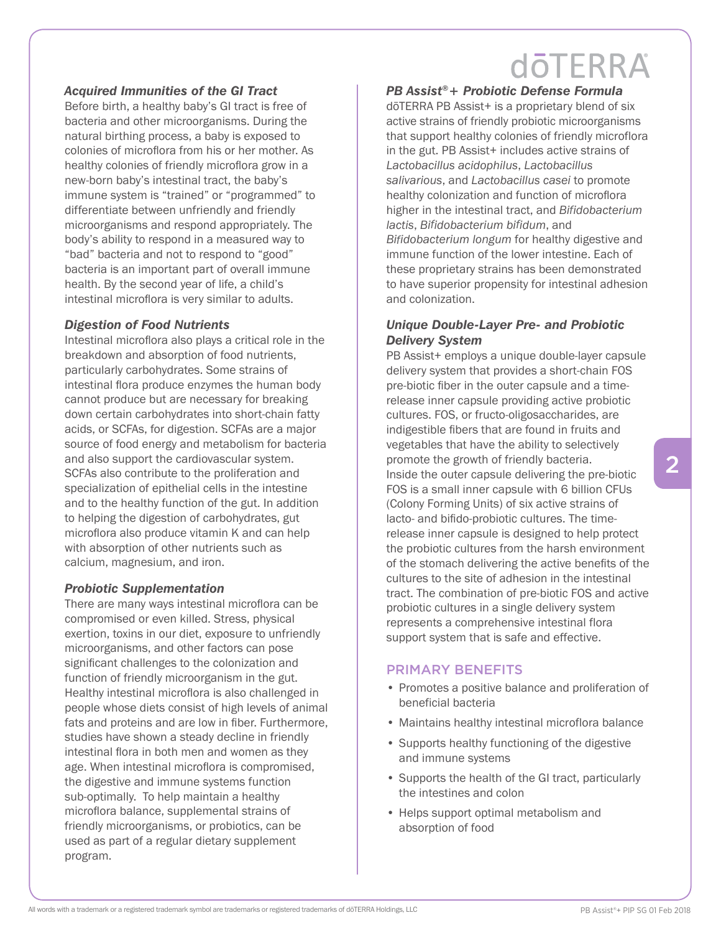## **dōTERRA**

## *Acquired Immunities of the GI Tract*

Before birth, a healthy baby's GI tract is free of bacteria and other microorganisms. During the natural birthing process, a baby is exposed to colonies of microflora from his or her mother. As healthy colonies of friendly microflora grow in a new-born baby's intestinal tract, the baby's immune system is "trained" or "programmed" to differentiate between unfriendly and friendly microorganisms and respond appropriately. The body's ability to respond in a measured way to "bad" bacteria and not to respond to "good" bacteria is an important part of overall immune health. By the second year of life, a child's intestinal microflora is very similar to adults.

#### *Digestion of Food Nutrients*

Intestinal microflora also plays a critical role in the breakdown and absorption of food nutrients, particularly carbohydrates. Some strains of intestinal flora produce enzymes the human body cannot produce but are necessary for breaking down certain carbohydrates into short-chain fatty acids, or SCFAs, for digestion. SCFAs are a major source of food energy and metabolism for bacteria and also support the cardiovascular system. SCFAs also contribute to the proliferation and specialization of epithelial cells in the intestine and to the healthy function of the gut. In addition to helping the digestion of carbohydrates, gut microflora also produce vitamin K and can help with absorption of other nutrients such as calcium, magnesium, and iron.

#### *Probiotic Supplementation*

There are many ways intestinal microflora can be compromised or even killed. Stress, physical exertion, toxins in our diet, exposure to unfriendly microorganisms, and other factors can pose significant challenges to the colonization and function of friendly microorganism in the gut. Healthy intestinal microflora is also challenged in people whose diets consist of high levels of animal fats and proteins and are low in fiber. Furthermore, studies have shown a steady decline in friendly intestinal flora in both men and women as they age. When intestinal microflora is compromised. the digestive and immune systems function sub-optimally. To help maintain a healthy microflora balance, supplemental strains of friendly microorganisms, or probiotics, can be used as part of a regular dietary supplement program.

*PB Assist®+ Probiotic Defense Formula* 

dōTERRA PB Assist+ is a proprietary blend of six active strains of friendly probiotic microorganisms that support healthy colonies of friendly microflora in the gut. PB Assist+ includes active strains of *Lactobacillus acidophilus*, *Lactobacillus salivarious*, and *Lactobacillus casei* to promote healthy colonization and function of microflora higher in the intestinal tract, and Bifidobacterium *lactis, Bifidobacterium bifidum,* and Bifidobacterium longum for healthy digestive and immune function of the lower intestine. Each of these proprietary strains has been demonstrated to have superior propensity for intestinal adhesion and colonization.

### *Unique Double-Layer Pre- and Probiotic Delivery System*

PB Assist+ employs a unique double-layer capsule delivery system that provides a short-chain FOS pre-biotic fiber in the outer capsule and a timerelease inner capsule providing active probiotic cultures. FOS, or fructo-oligosaccharides, are indigestible fibers that are found in fruits and vegetables that have the ability to selectively promote the growth of friendly bacteria. Inside the outer capsule delivering the pre-biotic FOS is a small inner capsule with 6 billion CFUs (Colony Forming Units) of six active strains of lacto- and bifido-probiotic cultures. The timerelease inner capsule is designed to help protect the probiotic cultures from the harsh environment of the stomach delivering the active benefits of the cultures to the site of adhesion in the intestinal tract. The combination of pre-biotic FOS and active probiotic cultures in a single delivery system represents a comprehensive intestinal flora support system that is safe and effective.

#### PRIMARY BENEFITS

- Promotes a positive balance and proliferation of beneficial bacteria
- Maintains healthy intestinal microflora balance
- Supports healthy functioning of the digestive and immune systems
- Supports the health of the GI tract, particularly the intestines and colon
- Helps support optimal metabolism and absorption of food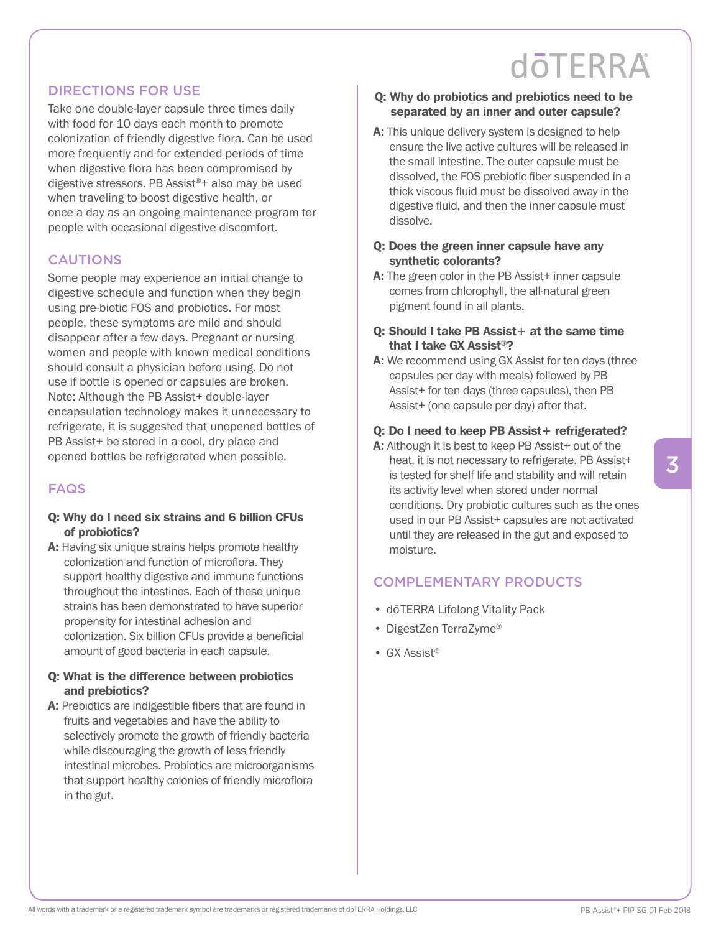## **döTERRA**

## DIRECTIONS FOR USE

Take one double-layer capsule three times daily with food for 10 days each month to promote colonization of friendly digestive flora. Can be used more frequently and for extended periods of time when digestive flora has been compromised by digestive stressors. PB Assist®+ also may be used when traveling to boost digestive health, or once a day as an ongoing maintenance program for people with occasional digestive discomfort.

## **CAUTIONS**

Some people may experience an initial change to digestive schedule and function when they begin using pre-biotic FOS and probiotics. For most people, these symptoms are mild and should disappear after a few days. Pregnant or nursing women and people with known medical conditions should consult a physician before using. Do not use if bottle is opened or capsules are broken. Note: Although the PB Assist+ double-layer encapsulation technology makes it unnecessary to refrigerate, it is suggested that unopened bottles of PB Assist+ be stored in a cool, dry place and opened bottles be refrigerated when possible.

## FAQS

- Q: Why do I need six strains and 6 billion CFUs of probiotics?
- A: Having six unique strains helps promote healthy colonization and function of microflora. They support healthy digestive and immune functions throughout the intestines. Each of these unique strains has been demonstrated to have superior propensity for intestinal adhesion and colonization. Six billion CFUs provide a beneficial amount of good bacteria in each capsule.

### Q: What is the difference between probiotics and prebiotics?

A: Prebiotics are indigestible fibers that are found in fruits and vegetables and have the ability to selectively promote the growth of friendly bacteria while discouraging the growth of less friendly intestinal microbes. Probiotics are microorganisms that support healthy colonies of friendly microflora in the gut.

- Q: Why do probiotics and prebiotics need to be separated by an inner and outer capsule?
- A: This unique delivery system is designed to help ensure the live active cultures will be released in the small intestine. The outer capsule must be dissolved, the FOS prebiotic fiber suspended in a thick viscous fluid must be dissolved away in the digestive fluid, and then the inner capsule must dissolve.

## Q: Does the green inner capsule have any synthetic colorants?

A: The green color in the PB Assist+ inner capsule comes from chlorophyll, the all-natural green pigment found in all plants.

## Q: Should I take PB Assist+ at the same time that I take GX Assist®?

A: We recommend using GX Assist for ten days (three capsules per day with meals) followed by PB Assist+ for ten days (three capsules), then PB Assist+ (one capsule per day) after that.

## Q: Do I need to keep PB Assist + refrigerated?

A: Although it is best to keep PB Assist+ out of the heat, it is not necessary to refrigerate. PB Assist+ is tested for shelf life and stability and will retain its activity level when stored under normal conditions. Dry probiotic cultures such as the ones used in our PB Assist+ capsules are not activated until they are released in the gut and exposed to moisture.

## COMPLEMENTARY PRODUCTS

- dōTERRA Lifelong Vitality Pack
- DigestZen TerraZyme®
- GX Assist®